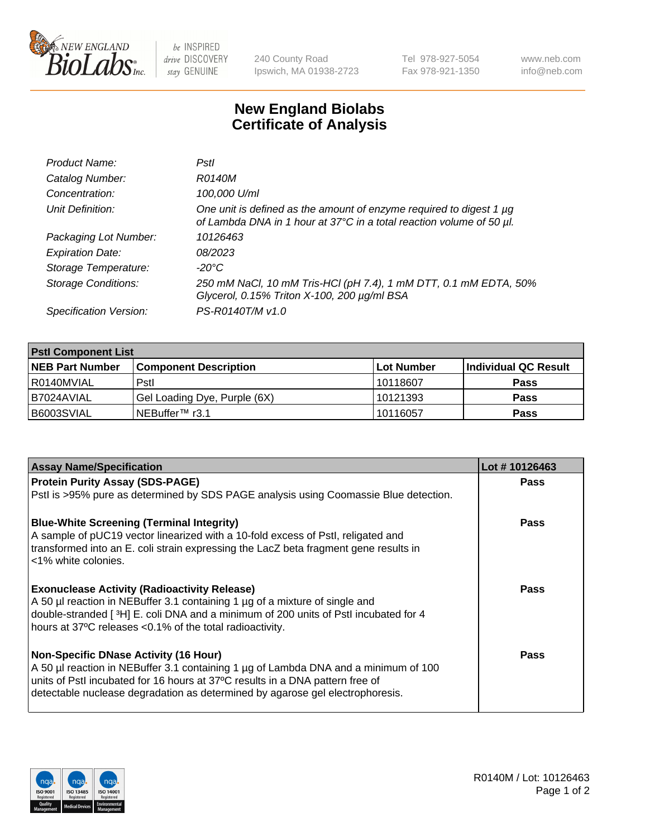

be INSPIRED drive DISCOVERY stay GENUINE

240 County Road Ipswich, MA 01938-2723 Tel 978-927-5054 Fax 978-921-1350 www.neb.com info@neb.com

## **New England Biolabs Certificate of Analysis**

| Product Name:              | Pstl                                                                                                                                             |
|----------------------------|--------------------------------------------------------------------------------------------------------------------------------------------------|
| Catalog Number:            | R0140M                                                                                                                                           |
| Concentration:             | 100,000 U/ml                                                                                                                                     |
| Unit Definition:           | One unit is defined as the amount of enzyme required to digest 1 $\mu$ g<br>of Lambda DNA in 1 hour at 37°C in a total reaction volume of 50 µl. |
| Packaging Lot Number:      | 10126463                                                                                                                                         |
| <b>Expiration Date:</b>    | 08/2023                                                                                                                                          |
| Storage Temperature:       | -20°C                                                                                                                                            |
| <b>Storage Conditions:</b> | 250 mM NaCl, 10 mM Tris-HCl (pH 7.4), 1 mM DTT, 0.1 mM EDTA, 50%<br>Glycerol, 0.15% Triton X-100, 200 µg/ml BSA                                  |
| Specification Version:     | PS-R0140T/M v1.0                                                                                                                                 |

| <b>PstI Component List</b> |                              |             |                      |  |  |
|----------------------------|------------------------------|-------------|----------------------|--|--|
| <b>NEB Part Number</b>     | <b>Component Description</b> | ∣Lot Number | Individual QC Result |  |  |
| R0140MVIAL                 | Pstl                         | 10118607    | <b>Pass</b>          |  |  |
| I B7024AVIAL               | Gel Loading Dye, Purple (6X) | 10121393    | <b>Pass</b>          |  |  |
| B6003SVIAL                 | NEBuffer <sup>™</sup> r3.1   | 10116057    | <b>Pass</b>          |  |  |

| <b>Assay Name/Specification</b>                                                                                                                                | Lot #10126463 |
|----------------------------------------------------------------------------------------------------------------------------------------------------------------|---------------|
| <b>Protein Purity Assay (SDS-PAGE)</b>                                                                                                                         | <b>Pass</b>   |
| Pstl is >95% pure as determined by SDS PAGE analysis using Coomassie Blue detection.                                                                           |               |
| <b>Blue-White Screening (Terminal Integrity)</b>                                                                                                               | <b>Pass</b>   |
| A sample of pUC19 vector linearized with a 10-fold excess of PstI, religated and                                                                               |               |
| transformed into an E. coli strain expressing the LacZ beta fragment gene results in<br><1% white colonies.                                                    |               |
| <b>Exonuclease Activity (Radioactivity Release)</b>                                                                                                            | Pass          |
| A 50 µl reaction in NEBuffer 3.1 containing 1 µg of a mixture of single and                                                                                    |               |
| double-stranded [3H] E. coli DNA and a minimum of 200 units of Pstl incubated for 4                                                                            |               |
| hours at 37°C releases <0.1% of the total radioactivity.                                                                                                       |               |
| <b>Non-Specific DNase Activity (16 Hour)</b>                                                                                                                   | Pass          |
| A 50 µl reaction in NEBuffer 3.1 containing 1 µg of Lambda DNA and a minimum of 100                                                                            |               |
| units of PstI incubated for 16 hours at 37°C results in a DNA pattern free of<br>detectable nuclease degradation as determined by agarose gel electrophoresis. |               |
|                                                                                                                                                                |               |